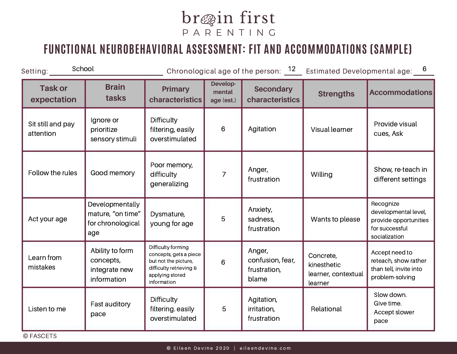## br@in first P A R E N T I N G

## **FUNCTIONAL NEUROBEHAVIORAL ASSESSMENT: FIT AND ACCOMMODATIONS (SAMPLE)**

| School<br>Setting:             |                                                                  |                                                                                                                                   |                                  |                                                     | Chronological age of the person: $12$ Estimated Developmental age: $6$ |                                                                                               |
|--------------------------------|------------------------------------------------------------------|-----------------------------------------------------------------------------------------------------------------------------------|----------------------------------|-----------------------------------------------------|------------------------------------------------------------------------|-----------------------------------------------------------------------------------------------|
| <b>Task or</b><br>expectation  | <b>Brain</b><br>tasks                                            | <b>Primary</b><br>characteristics                                                                                                 | Develop-<br>mental<br>age (est.) | <b>Secondary</b><br>characteristics                 | <b>Strengths</b>                                                       | <b>Accommodations</b>                                                                         |
| Sit still and pay<br>attention | Ignore or<br>prioritize<br>sensory stimuli                       | <b>Difficulty</b><br>filtering, easily<br>overstimulated                                                                          | $6\phantom{1}6$                  | Agitation                                           | Visual learner                                                         | Provide visual<br>cues, Ask                                                                   |
| Follow the rules               | Good memory                                                      | Poor memory,<br>difficulty<br>generalizing                                                                                        | $\overline{7}$                   | Anger,<br>frustration                               | Willing                                                                | Show, re-teach in<br>different settings                                                       |
| Act your age                   | Developmentally<br>mature, "on time"<br>for chronological<br>age | Dysmature,<br>young for age                                                                                                       | 5                                | Anxiety,<br>sadness,<br>frustration                 | Wants to please                                                        | Recognize<br>developmental level,<br>provide opportunities<br>for successful<br>socialization |
| Learn from<br>mistakes         | Ability to form<br>concepts,<br>integrate new<br>information     | Difficulty forming<br>concepts, gets a piece<br>but not the picture,<br>difficulty retrieving &<br>applying stored<br>information | 6                                | Anger,<br>confusion, fear,<br>frustration,<br>blame | Concrete,<br>kinesthetic<br>learner, contextual<br>learner             | Accept need to<br>reteach, show rather<br>than tell, invite into<br>problem-solving           |
| Listen to me                   | Fast auditory<br>pace                                            | <b>Difficulty</b><br>filtering. easily<br>overstimulated                                                                          | 5                                | Agitation,<br>irritation,<br>frustration            | Relational                                                             | Slow down.<br>Give time.<br>Accept slower<br>pace                                             |